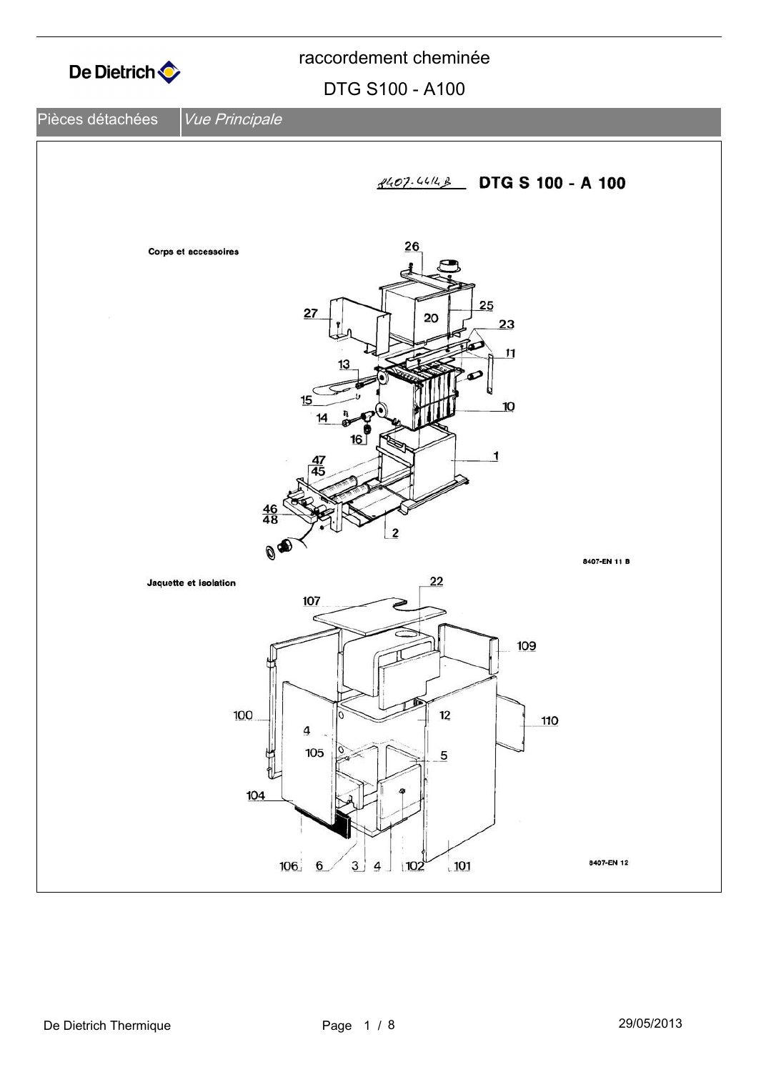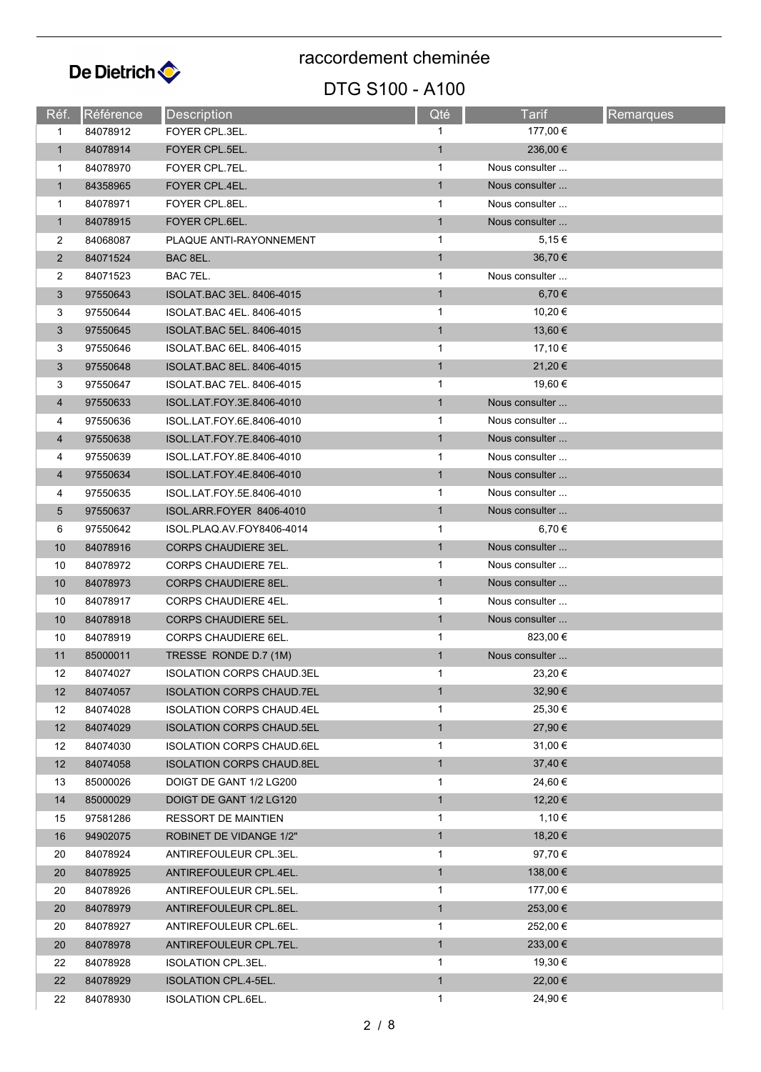

### DTG S100 - A100

| Réf.           | Référence | Description                      | Qté          | Tarif          | <b>Remarques</b> |
|----------------|-----------|----------------------------------|--------------|----------------|------------------|
| 1              | 84078912  | FOYER CPL.3EL.                   | 1            | 177,00 €       |                  |
| $\mathbf{1}$   | 84078914  | FOYER CPL.5EL.                   | $\mathbf{1}$ | 236,00 €       |                  |
| 1              | 84078970  | FOYER CPL.7EL.                   | 1            | Nous consulter |                  |
| $\mathbf{1}$   | 84358965  | FOYER CPL.4EL.                   | $\mathbf{1}$ | Nous consulter |                  |
| 1              | 84078971  | FOYER CPL.8EL.                   | 1            | Nous consulter |                  |
| $\mathbf{1}$   | 84078915  | FOYER CPL.6EL.                   | $\mathbf{1}$ | Nous consulter |                  |
| $\overline{2}$ | 84068087  | PLAQUE ANTI-RAYONNEMENT          | 1            | 5,15€          |                  |
| $\overline{2}$ | 84071524  | BAC 8EL.                         | $\mathbf{1}$ | 36,70 €        |                  |
| 2              | 84071523  | BAC 7EL.                         | 1            | Nous consulter |                  |
| 3              | 97550643  | ISOLAT.BAC 3EL. 8406-4015        | $\mathbf{1}$ | 6,70 €         |                  |
| 3              | 97550644  | ISOLAT BAC 4EL. 8406-4015        | 1            | 10,20 €        |                  |
| 3              | 97550645  | ISOLAT.BAC 5EL. 8406-4015        | $\mathbf{1}$ | 13,60 €        |                  |
| 3              | 97550646  | ISOLAT.BAC 6EL. 8406-4015        | 1            | 17,10 €        |                  |
| 3              | 97550648  | ISOLAT.BAC 8EL. 8406-4015        | $\mathbf{1}$ | 21,20 €        |                  |
| 3              | 97550647  | ISOLAT BAC 7EL. 8406-4015        | $\mathbf{1}$ | 19,60 €        |                  |
| $\overline{4}$ | 97550633  | ISOL.LAT.FOY.3E.8406-4010        | $\mathbf{1}$ | Nous consulter |                  |
| 4              | 97550636  | ISOL.LAT.FOY.6E.8406-4010        | 1            | Nous consulter |                  |
| 4              | 97550638  | ISOL.LAT.FOY.7E.8406-4010        | $\mathbf{1}$ | Nous consulter |                  |
| 4              | 97550639  | ISOL.LAT.FOY.8E.8406-4010        | 1            | Nous consulter |                  |
| $\overline{4}$ | 97550634  | ISOL.LAT.FOY.4E.8406-4010        | $\mathbf{1}$ | Nous consulter |                  |
| 4              | 97550635  | ISOL LAT FOY 5E 8406-4010        | 1            | Nous consulter |                  |
| 5              | 97550637  | ISOL.ARR.FOYER 8406-4010         | $\mathbf{1}$ | Nous consulter |                  |
| 6              | 97550642  | ISOL.PLAQ.AV.FOY8406-4014        | 1            | 6,70 €         |                  |
| 10             | 84078916  | <b>CORPS CHAUDIERE 3EL.</b>      | $\mathbf{1}$ | Nous consulter |                  |
| 10             | 84078972  | CORPS CHAUDIERE 7EL.             | 1            | Nous consulter |                  |
| 10             | 84078973  | <b>CORPS CHAUDIERE 8EL.</b>      | $\mathbf{1}$ | Nous consulter |                  |
| 10             | 84078917  | CORPS CHAUDIERE 4EL.             | 1            | Nous consulter |                  |
| 10             | 84078918  | <b>CORPS CHAUDIERE 5EL.</b>      | $\mathbf{1}$ | Nous consulter |                  |
| 10             | 84078919  | CORPS CHAUDIERE 6EL.             | 1            | 823,00 €       |                  |
| 11             | 85000011  | TRESSE RONDE D.7 (1M)            | $\mathbf{1}$ | Nous consulter |                  |
| 12             | 84074027  | <b>ISOLATION CORPS CHAUD.3EL</b> | $\mathbf{1}$ | 23,20 €        |                  |
| 12             | 84074057  | <b>ISOLATION CORPS CHAUD.7EL</b> | $\mathbf{1}$ | 32,90 €        |                  |
| 12             | 84074028  | <b>ISOLATION CORPS CHAUD.4EL</b> | 1            | 25,30 €        |                  |
| 12             | 84074029  | <b>ISOLATION CORPS CHAUD.5EL</b> | $\mathbf{1}$ | 27,90 €        |                  |
| 12             | 84074030  | <b>ISOLATION CORPS CHAUD 6EL</b> | 1            | 31,00 €        |                  |
| 12             | 84074058  | <b>ISOLATION CORPS CHAUD.8EL</b> | $\mathbf{1}$ | 37,40 €        |                  |
| 13             | 85000026  | DOIGT DE GANT 1/2 LG200          | 1            | 24,60 €        |                  |
| 14             | 85000029  | DOIGT DE GANT 1/2 LG120          | $\mathbf{1}$ | 12,20 €        |                  |
| 15             | 97581286  | RESSORT DE MAINTIEN              | 1            | 1,10 €         |                  |
| 16             | 94902075  | ROBINET DE VIDANGE 1/2"          | $\mathbf{1}$ | 18,20 €        |                  |
| 20             | 84078924  | ANTIREFOULEUR CPL.3EL.           | 1            | 97,70 €        |                  |
| 20             | 84078925  | ANTIREFOULEUR CPL.4EL.           | $\mathbf{1}$ | $138,00 \in$   |                  |
| 20             | 84078926  | ANTIREFOULEUR CPL.5EL.           | 1            | 177,00 €       |                  |
| 20             | 84078979  | ANTIREFOULEUR CPL.8EL.           | $\mathbf{1}$ | 253,00 €       |                  |
| 20             | 84078927  | ANTIREFOULEUR CPL.6EL.           | 1            | 252,00 €       |                  |
| 20             | 84078978  | ANTIREFOULEUR CPL.7EL.           | $\mathbf{1}$ | 233,00 €       |                  |
| 22             | 84078928  | ISOLATION CPL.3EL.               | 1            | 19,30 €        |                  |
| 22             | 84078929  | <b>ISOLATION CPL.4-5EL.</b>      | $\mathbf{1}$ | 22,00 €        |                  |
| 22             | 84078930  | <b>ISOLATION CPL.6EL.</b>        | $\mathbf{1}$ | 24,90 €        |                  |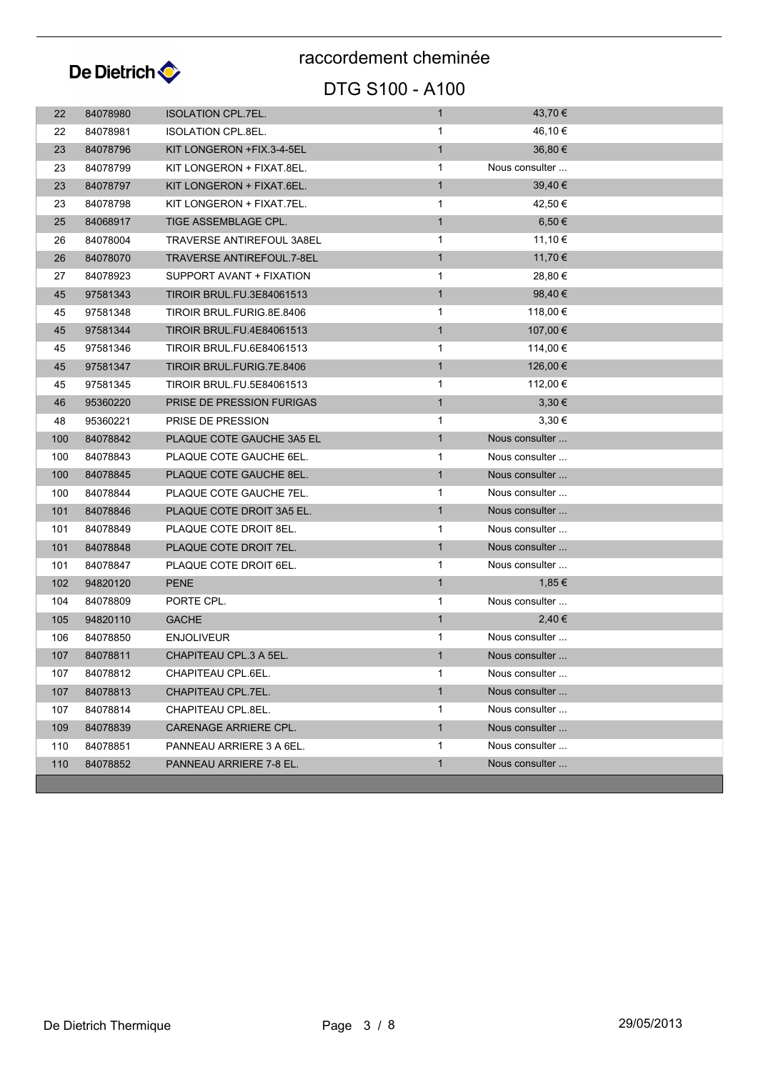

## DTG S100 - A100

| 22  | 84078980 | <b>ISOLATION CPL.7EL.</b>        | $\mathbf{1}$ | 43,70 €        |
|-----|----------|----------------------------------|--------------|----------------|
| 22  | 84078981 | ISOLATION CPL.8EL.               | 1            | 46,10 €        |
| 23  | 84078796 | KIT LONGERON +FIX.3-4-5EL        | $\mathbf{1}$ | 36,80 €        |
| 23  | 84078799 | KIT LONGERON + FIXAT.8EL.        | $\mathbf{1}$ | Nous consulter |
| 23  | 84078797 | KIT LONGERON + FIXAT.6EL.        | $\mathbf{1}$ | 39,40 €        |
| 23  | 84078798 | KIT LONGERON + FIXAT.7EL.        | $\mathbf{1}$ | 42,50 €        |
| 25  | 84068917 | TIGE ASSEMBLAGE CPL.             | $\mathbf{1}$ | 6,50 €         |
| 26  | 84078004 | <b>TRAVERSE ANTIREFOUL 3A8EL</b> | $\mathbf{1}$ | 11,10 €        |
| 26  | 84078070 | TRAVERSE ANTIREFOUL.7-8EL        | $\mathbf{1}$ | 11,70 €        |
| 27  | 84078923 | SUPPORT AVANT + FIXATION         | $\mathbf 1$  | 28,80 €        |
| 45  | 97581343 | <b>TIROIR BRUL.FU.3E84061513</b> | $\mathbf{1}$ | 98,40 €        |
| 45  | 97581348 | TIROIR BRUL FURIG 8E 8406        | 1            | 118,00 €       |
| 45  | 97581344 | <b>TIROIR BRUL.FU.4E84061513</b> | $\mathbf{1}$ | 107,00 €       |
| 45  | 97581346 | TIROIR BRUL.FU.6E84061513        | $\mathbf{1}$ | 114,00 €       |
| 45  | 97581347 | TIROIR BRUL.FURIG.7E.8406        | $\mathbf{1}$ | 126,00 €       |
| 45  | 97581345 | <b>TIROIR BRUL.FU.5E84061513</b> | $\mathbf{1}$ | 112,00 €       |
| 46  | 95360220 | PRISE DE PRESSION FURIGAS        | $\mathbf{1}$ | $3,30 \in$     |
| 48  | 95360221 | PRISE DE PRESSION                | 1            | 3,30€          |
| 100 | 84078842 | PLAQUE COTE GAUCHE 3A5 EL        | $\mathbf{1}$ | Nous consulter |
| 100 | 84078843 | PLAQUE COTE GAUCHE 6EL.          | 1            | Nous consulter |
| 100 | 84078845 | PLAQUE COTE GAUCHE 8EL.          | $\mathbf{1}$ | Nous consulter |
| 100 | 84078844 | PLAQUE COTE GAUCHE 7EL.          | $\mathbf{1}$ | Nous consulter |
| 101 | 84078846 | PLAQUE COTE DROIT 3A5 EL.        | $\mathbf{1}$ | Nous consulter |
| 101 | 84078849 | PLAQUE COTE DROIT 8EL.           | 1            | Nous consulter |
| 101 | 84078848 | PLAQUE COTE DROIT 7EL.           | $\mathbf{1}$ | Nous consulter |
| 101 | 84078847 | PLAQUE COTE DROIT 6EL.           | $\mathbf{1}$ | Nous consulter |
| 102 | 94820120 | <b>PENE</b>                      | $\mathbf{1}$ | 1,85€          |
| 104 | 84078809 | PORTE CPL.                       | $\mathbf{1}$ | Nous consulter |
| 105 | 94820110 | <b>GACHE</b>                     | $\mathbf{1}$ | 2,40€          |
| 106 | 84078850 | ENJOLIVEUR                       | 1            | Nous consulter |
| 107 | 84078811 | CHAPITEAU CPL.3 A 5EL.           | $\mathbf{1}$ | Nous consulter |
| 107 | 84078812 | CHAPITEAU CPL.6EL.               | $\mathbf{1}$ | Nous consulter |
| 107 | 84078813 | CHAPITEAU CPL.7EL.               | $\mathbf{1}$ | Nous consulter |
| 107 | 84078814 | CHAPITEAU CPL.8EL.               | 1            | Nous consulter |
| 109 | 84078839 | CARENAGE ARRIERE CPL.            | $\mathbf{1}$ | Nous consulter |
| 110 | 84078851 | PANNEAU ARRIERE 3 A 6EL.         | $\mathbf{1}$ | Nous consulter |
| 110 | 84078852 | PANNEAU ARRIERE 7-8 EL.          | $\mathbf{1}$ | Nous consulter |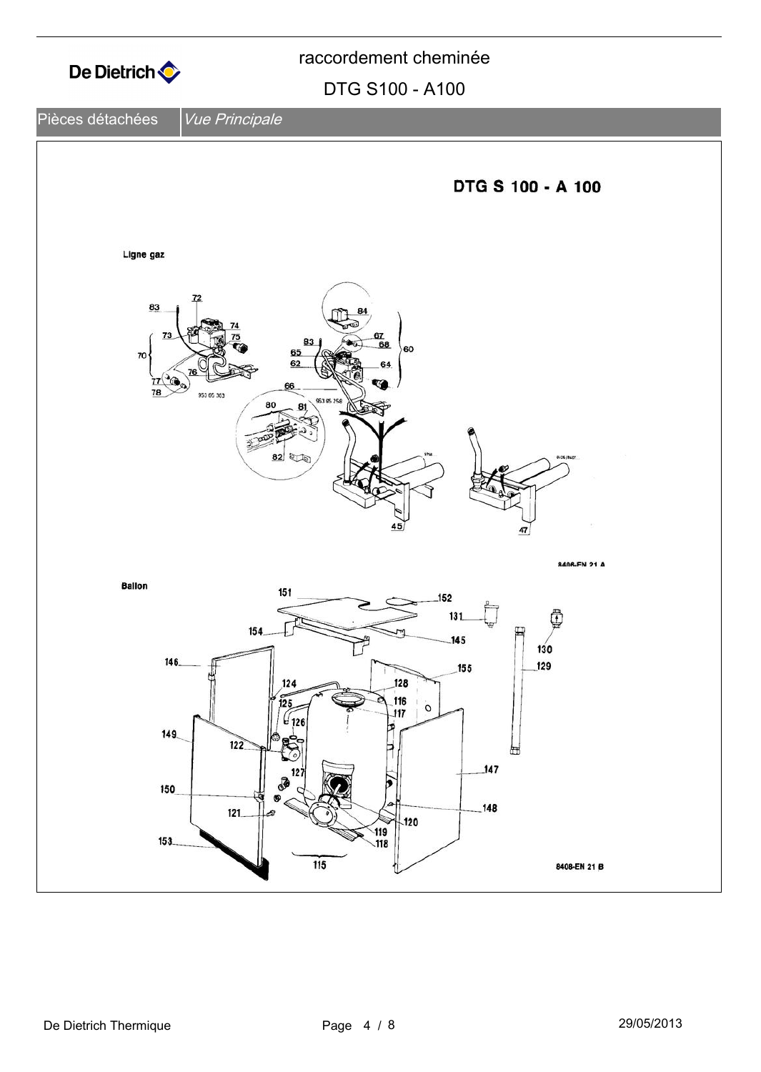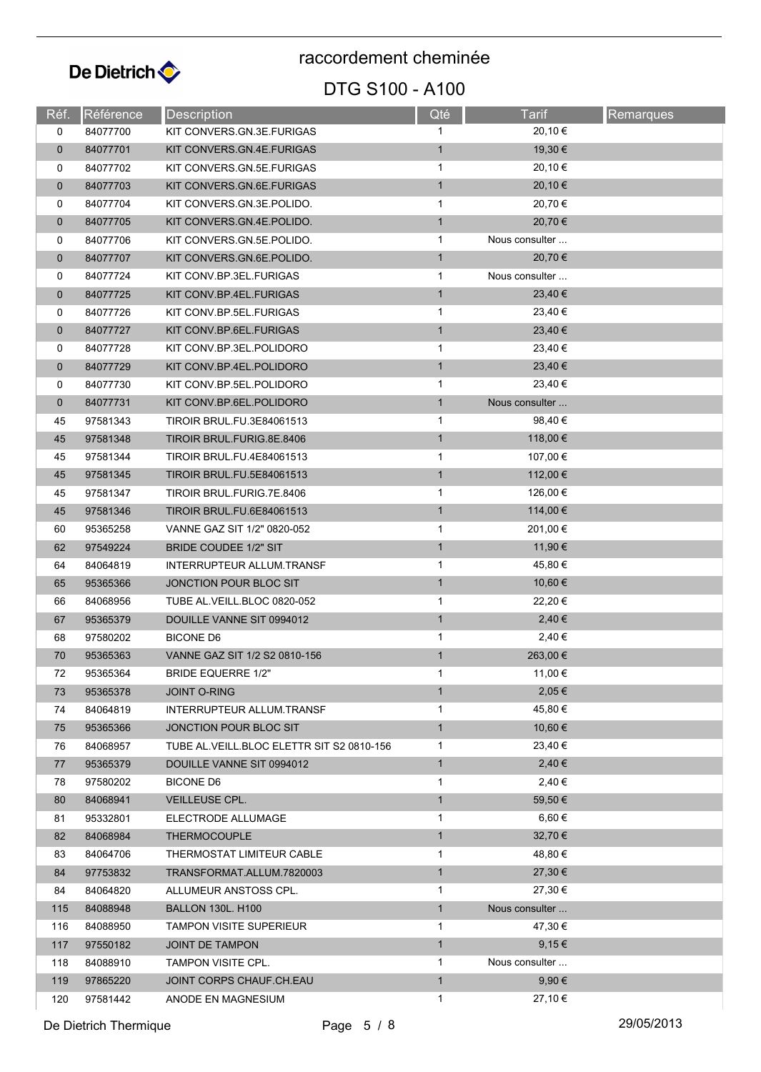

## DTG S100 - A100

| Réf.         | Référence | Description                               | Qté          | <b>Tarif</b>   | <b>Remarques</b> |
|--------------|-----------|-------------------------------------------|--------------|----------------|------------------|
| 0            | 84077700  | KIT CONVERS GN.3E FURIGAS                 | 1            | 20,10 €        |                  |
| $\mathbf 0$  | 84077701  | KIT CONVERS.GN.4E.FURIGAS                 | $\mathbf{1}$ | 19,30 €        |                  |
| 0            | 84077702  | KIT CONVERS.GN.5E.FURIGAS                 | $\mathbf{1}$ | 20,10 €        |                  |
| $\mathbf 0$  | 84077703  | KIT CONVERS.GN.6E.FURIGAS                 | $\mathbf{1}$ | 20,10 €        |                  |
| 0            | 84077704  | KIT CONVERS GN 3E POLIDO.                 | 1            | 20,70 €        |                  |
| $\mathbf{0}$ | 84077705  | KIT CONVERS GN.4E.POLIDO.                 | $\mathbf{1}$ | 20,70 €        |                  |
| 0            | 84077706  | KIT CONVERS GN.5E POLIDO.                 | $\mathbf{1}$ | Nous consulter |                  |
| $\mathbf 0$  | 84077707  | KIT CONVERS GN.6E.POLIDO.                 | $\mathbf{1}$ | 20,70 €        |                  |
| 0            | 84077724  | KIT CONV.BP.3EL.FURIGAS                   | $\mathbf 1$  | Nous consulter |                  |
| $\mathbf 0$  | 84077725  | KIT CONV.BP.4EL.FURIGAS                   | $\mathbf{1}$ | 23,40 €        |                  |
| 0            | 84077726  | KIT CONV.BP.5EL.FURIGAS                   | $\mathbf{1}$ | 23,40 €        |                  |
| $\mathbf 0$  | 84077727  | KIT CONV.BP.6EL.FURIGAS                   | $\mathbf{1}$ | 23,40 €        |                  |
| 0            | 84077728  | KIT CONV.BP.3EL.POLIDORO                  | 1            | 23,40 €        |                  |
| $\mathbf 0$  | 84077729  | KIT CONV.BP.4EL.POLIDORO                  | $\mathbf{1}$ | 23,40 €        |                  |
| 0            | 84077730  | KIT CONV.BP.5EL.POLIDORO                  | $\mathbf{1}$ | 23,40 €        |                  |
| 0            | 84077731  | KIT CONV.BP.6EL.POLIDORO                  | $\mathbf{1}$ | Nous consulter |                  |
| 45           | 97581343  | TIROIR BRUL.FU.3E84061513                 | 1            | 98,40 €        |                  |
| 45           | 97581348  | TIROIR BRUL.FURIG.8E.8406                 | $\mathbf{1}$ | 118,00 €       |                  |
| 45           | 97581344  | TIROIR BRUL.FU.4E84061513                 | $\mathbf{1}$ | 107,00 €       |                  |
| 45           | 97581345  | <b>TIROIR BRUL.FU.5E84061513</b>          | $\mathbf{1}$ | 112,00 €       |                  |
| 45           | 97581347  | TIROIR BRUL FURIG.7E.8406                 | 1            | 126,00 €       |                  |
| 45           | 97581346  | <b>TIROIR BRUL.FU.6E84061513</b>          | $\mathbf{1}$ | 114,00 €       |                  |
| 60           | 95365258  | VANNE GAZ SIT 1/2" 0820-052               | $\mathbf{1}$ | 201,00 €       |                  |
| 62           | 97549224  | <b>BRIDE COUDEE 1/2" SIT</b>              | $\mathbf{1}$ | 11,90 €        |                  |
| 64           | 84064819  | INTERRUPTEUR ALLUM.TRANSF                 | $\mathbf{1}$ | 45,80 €        |                  |
| 65           | 95365366  | JONCTION POUR BLOC SIT                    | $\mathbf{1}$ | 10,60 €        |                  |
| 66           | 84068956  | TUBE AL.VEILL.BLOC 0820-052               | $\mathbf{1}$ | 22,20 €        |                  |
| 67           | 95365379  | DOUILLE VANNE SIT 0994012                 | $\mathbf{1}$ | 2,40 €         |                  |
| 68           | 97580202  | <b>BICONE D6</b>                          | 1            | 2,40 €         |                  |
| 70           | 95365363  | VANNE GAZ SIT 1/2 S2 0810-156             | $\mathbf{1}$ | 263,00 €       |                  |
| 72           | 95365364  | <b>BRIDE EQUERRE 1/2"</b>                 | 1            | 11,00 €        |                  |
| 73           | 95365378  | <b>JOINT O-RING</b>                       | $\mathbf{1}$ | 2,05 €         |                  |
| 74           | 84064819  | <b>INTERRUPTEUR ALLUM.TRANSF</b>          | $\mathbf 1$  | 45,80 €        |                  |
| 75           | 95365366  | JONCTION POUR BLOC SIT                    | $\mathbf{1}$ | 10,60 €        |                  |
| 76           | 84068957  | TUBE AL VEILL BLOC ELETTR SIT S2 0810-156 | $\mathbf{1}$ | 23,40 €        |                  |
| 77           | 95365379  | DOUILLE VANNE SIT 0994012                 | $\mathbf{1}$ | 2,40€          |                  |
| 78           | 97580202  | BICONE D6                                 | $\mathbf{1}$ | 2,40€          |                  |
| 80           | 84068941  | VEILLEUSE CPL.                            | $\mathbf{1}$ | 59,50 €        |                  |
| 81           | 95332801  | ELECTRODE ALLUMAGE                        | $\mathbf{1}$ | $6,60 \in$     |                  |
| 82           | 84068984  | <b>THERMOCOUPLE</b>                       | $\mathbf{1}$ | 32,70 €        |                  |
| 83           | 84064706  | THERMOSTAT LIMITEUR CABLE                 | $\mathbf{1}$ | 48,80 €        |                  |
| 84           | 97753832  | TRANSFORMAT.ALLUM.7820003                 | $\mathbf{1}$ | 27,30 €        |                  |
| 84           | 84064820  | ALLUMEUR ANSTOSS CPL.                     | 1            | 27,30 €        |                  |
| 115          | 84088948  | <b>BALLON 130L. H100</b>                  | $\mathbf{1}$ | Nous consulter |                  |
| 116          | 84088950  | <b>TAMPON VISITE SUPERIEUR</b>            | $\mathbf{1}$ | 47,30 €        |                  |
| 117          | 97550182  | JOINT DE TAMPON                           | $\mathbf{1}$ | 9,15€          |                  |
| 118          | 84088910  | <b>TAMPON VISITE CPL.</b>                 | 1            | Nous consulter |                  |
| 119          | 97865220  | JOINT CORPS CHAUF CH.EAU                  | $\mathbf{1}$ | $9,90 \in$     |                  |
| 120          | 97581442  | ANODE EN MAGNESIUM                        | $\mathbf{1}$ | 27,10 €        |                  |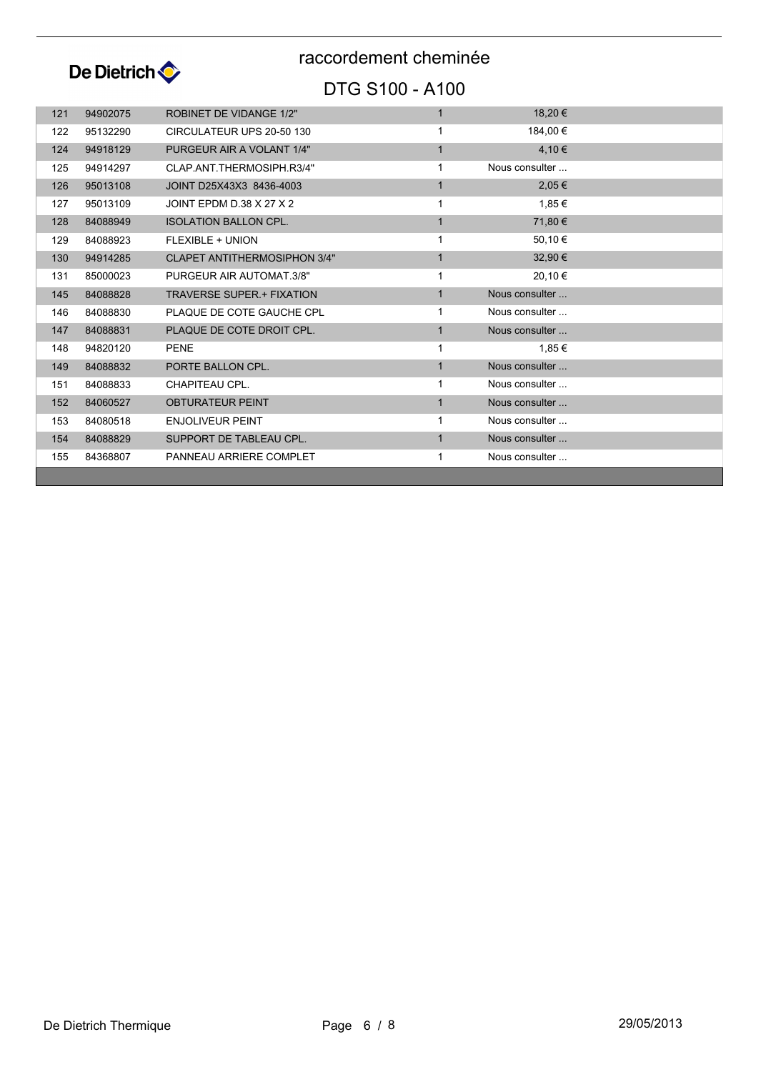

### DTG S100 - A100

| 121 | 94902075 | <b>ROBINET DE VIDANGE 1/2"</b>      | $\mathbf{1}$ | 18,20 €        |  |
|-----|----------|-------------------------------------|--------------|----------------|--|
| 122 | 95132290 | CIRCULATEUR UPS 20-50 130           |              | 184,00 €       |  |
| 124 | 94918129 | PURGEUR AIR A VOLANT 1/4"           | $\mathbf{1}$ | 4,10€          |  |
| 125 | 94914297 | CLAP ANT THERMOSIPH R3/4"           | $\mathbf{1}$ | Nous consulter |  |
| 126 | 95013108 | JOINT D25X43X3 8436-4003            | 1            | 2,05€          |  |
| 127 | 95013109 | JOINT EPDM D.38 X 27 X 2            | 1            | 1,85 €         |  |
| 128 | 84088949 | <b>ISOLATION BALLON CPL.</b>        | $\mathbf{1}$ | 71,80 €        |  |
| 129 | 84088923 | <b>FLEXIBLE + UNION</b>             |              | 50,10 €        |  |
| 130 | 94914285 | <b>CLAPET ANTITHERMOSIPHON 3/4"</b> | $\mathbf{1}$ | 32,90 €        |  |
| 131 | 85000023 | PURGEUR AIR AUTOMAT.3/8"            | 1            | 20,10 €        |  |
| 145 | 84088828 | <b>TRAVERSE SUPER.+ FIXATION</b>    | $\mathbf{1}$ | Nous consulter |  |
| 146 | 84088830 | PLAQUE DE COTE GAUCHE CPL           | 1            | Nous consulter |  |
| 147 | 84088831 | PLAQUE DE COTE DROIT CPL.           | $\mathbf{1}$ | Nous consulter |  |
| 148 | 94820120 | <b>PENE</b>                         |              | 1.85 €         |  |
| 149 | 84088832 | PORTE BALLON CPL.                   | $\mathbf{1}$ | Nous consulter |  |
| 151 | 84088833 | CHAPITEAU CPL.                      | 1            | Nous consulter |  |
| 152 | 84060527 | <b>OBTURATEUR PEINT</b>             | $\mathbf{1}$ | Nous consulter |  |
| 153 | 84080518 | <b>ENJOLIVEUR PEINT</b>             | $\mathbf{1}$ | Nous consulter |  |
| 154 | 84088829 | SUPPORT DE TABLEAU CPL.             | $\mathbf{1}$ | Nous consulter |  |
| 155 | 84368807 | PANNEAU ARRIERE COMPLET             | 1            | Nous consulter |  |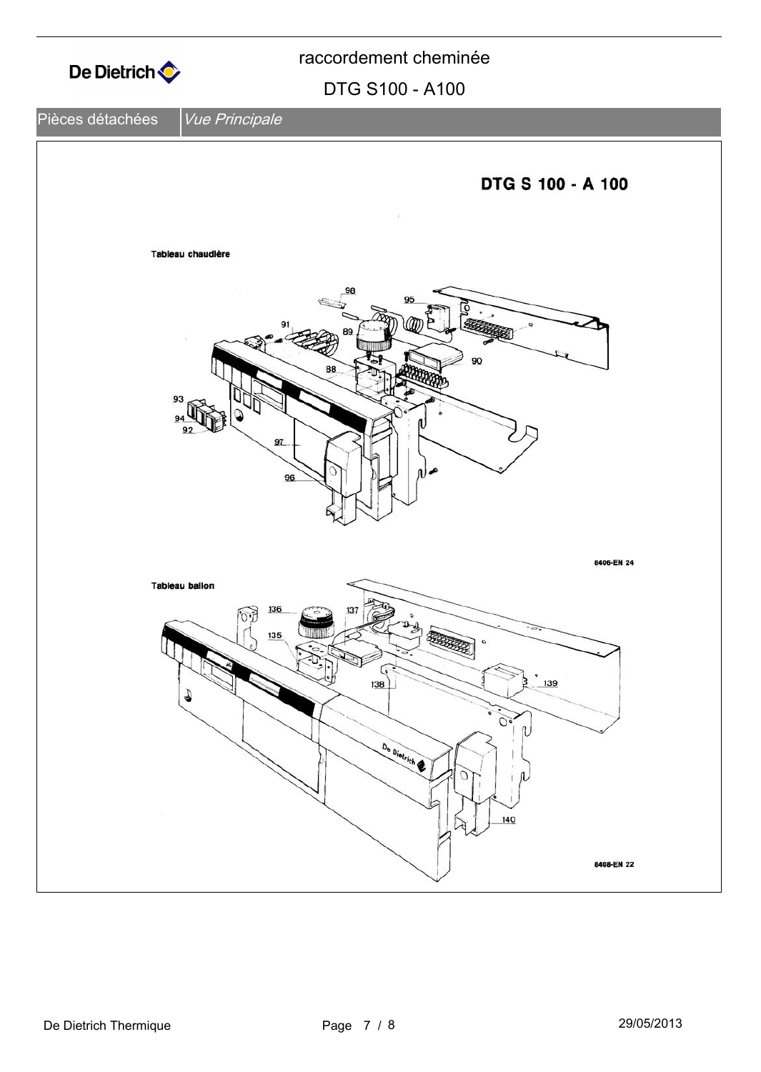